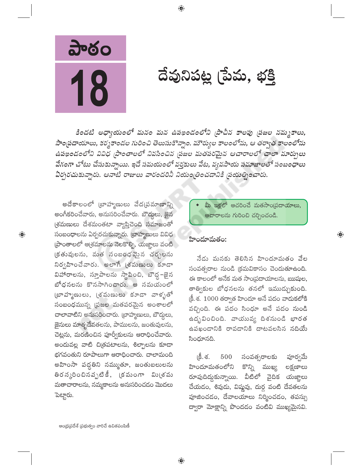పాఠం 18

 $\bigoplus$ 

దేవునిపట్ల (పేమ, భక్తి

కిందటి అధ్యాయంలో మనం మన ఉపఖండంలోని (పాచీన కాలపు (పజల నమ్మకాలు, సాంస్థదాయాలు, కర్మకాండల గురించి తెలుసుకొన్నాం. మౌర్యుల కాలంలోను, ఆ తర్వాత కాలంలోను ఉపఖండంలోని వివిధ (పాంతాలలో నివసించిన (పజల మతపరమైన ఆచారాలలో చాలా మార్పులు వేగంగా చోటు చేసుకున్నాయి. ఇదే సమయంలో వర్తకులు వేట, వ్యవసాయ సమాజాలతో సంబంధాలు ఏర్పరచుకున్నారు. ఆనాటి రాజులు వారందరినీ నియంత్రించడానికి ప్రయత్నించారు.

 $\bigoplus$ 

అదేకాలంలో (బాహ్మణులు వేద(పమాణాన్ని అంగీకరించేవారు, అనుసరించేవారు. బౌద్దలు, జైన (శమణులు దేశమంతటా వ్యాప్తిచెంది సమాజంతో సంబంధాలను ఏర్పరచుకున్నారు. (బాహ్మణులు వివిధ ప్రాంతాలలో అ(శమాలను నెలకొల్పి, యజ్ఞాలు వంటి (కతువులను, మత సంబంధవైన చర్చలను నిర్వహించేవారు. అలాగే (శమణులు కూడా విహారాలను, స్తూపాలను స్థాపించి, బౌద్ధ–జైన బోధనలను కొనసాగించారు. ఆ సమయంలో  $\omega$  (బాహ్మణులు, (తమణులు కూడా వాళ్ళతో సంబంధమున్న (పజల మతపరమైన అంశాలలో చాలావాటిని అనుసరించారు. (బాహ్మణులు, బౌద్దలు, జైనులు మాతృదేవతలను, పాములను, జంతువులను, చెట్లను, మరణించిన పూర్వీకులను ఆరాధించేవారు. అందువల్ల వాటి చిత్రపటాలను, శిల్పాలను కూడా భగవంతుని రూపాలుగా ఆరాధించారు. చాలామంది అహింసా పద్ధతిని నమ్ముతూ, జంతుబలులను తిరన్మరించినవృటికీ, క్రమంగా విు(శమ మతాచారాలను, నమ్మకాలను అనుసరించడం మొదలు పెట్టారు.

మీ ఇళ్లలో ఆచరించే మతసాంబ్రదాయాలు, ఆచారాలను గురించి చర్చించండి.

 $\bigoplus$ 

#### హిందూమతం:

నేడు మనకు తెలిసిన హిందూమతం వేల సంవత్సరాల నుండి క్రమవికాసం చెందుతూఉంది. ఈ కాలంలో అనేక మత సాం[పదాయాలను, ఋషుల, తాత్వికుల బోధనలను తనలో ఇముడ్చుకుంది.  $\xi$ . శ.  $1000$  తర్వాత హిందూ అనే పదం వాదుకలోకి వచ్చింది. ఈ పదం సింధూ అనే పదం నుండి ఉద్భవించింది. వాయువ్య దిశనుండి భారత ఉపఖండానికి రావడానికి దాటవలసిన నదియే సింధూనది.

હિં. ર્જ. 500 సంవత్సరాలకు పూర్వమే హిందూమతంలోని కొన్ని ముఖ్య లక్షణాలు రూపుదిద్దుకున్నాయి. వీటిలో వైదిక యజ్ఞాలు చేయడం, శివుడు, విష్ణవు, దుర్గ వంటి దేవతలను పూజించడం, దేవాలయాలు నిర్మించడం, తపస్సు ద్వారా మోక్షాన్ని పొందడం వంటివి ముఖ్యమైనవి.

ఆంధ్రప్రదేశ్ ప్రభుత్వం వారిచే ఉచితపంపిణీ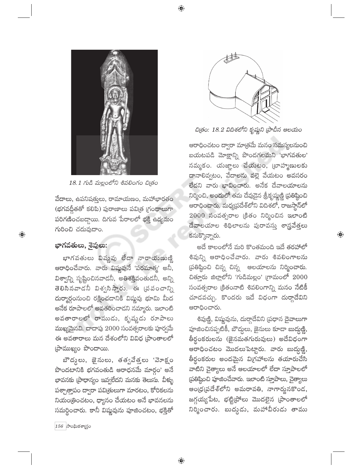$\bigoplus$ 



18.1 గుడి మల్లంలోని శివలింగం చిత్రం

వేదాలు, ఉపనిషత్తులు, రామాయణం, మహాభారతం (భగవద్గీతతో కలిపి) పురాణాలు పవిత్ర (గంథాలుగా పరిగణించబడ్డాయి. దిగువ పేరాలలో భక్తి ఉద్యమం గురించి చదువుదాం.

#### భాగవతులు, శైవులు:

 $\bigoplus$ 

భాగవతులు విష్ణవు లేదా నారాయణుణ్ణి ఆరాధించేవారు. వారు విష్ణవునే 'పరమాత్మ' అనీ, విశ్వాన్ని సృష్టించినవాడనీ, అతిశక్తివంతుడనీ, అన్ని తెలిసినవాడనీ విశ్వసిస్తారు. ఈ (పపంచాన్ని దుర్మార్గంనుంచి రక్షించడానికి విష్ణవు భూమి మీద ....<br>అనేక రూపాలలో అవతరించాడని నమ్మారు. ఇలాంటి అవతారాలలో రాముడు, కృష్ణడు రూపాలు ముఖ్యమైనవి. దాదాపు 2000 సంవత్సరాలకు పూర్వమే ఈ అవతారాలు మన దేశంలోని వివిధ [పాంతాలలో (పాముఖ్యం పొందాయి.

బౌద్దులు, జైనులు, తత్వవేత్తలు 'వెూక్షం పొందటానికి భగవంతుడి ఆరాధనమే మార్గం<sup>,</sup> అనే భావనకు (పాధాన్యం ఇవ్వలేదని మనకు తెలుసు. వీళ్ళు పశ్చాత్తాపం ద్వారా పవిత్రులుగా మారటం, కోరికలను నియంత్రించటం, ధ్యానం చేయటం అనే భావనలను సమర్థించారు. కానీ విష్ణవును పూజించటం, భక్తితో



చిత్రం: 18.2 విదిశలోని కృష్ణుని [పాచీన ఆలయం

ఆరాధించటం ద్వారా మాత్రమే మనం సమస్యలనుంచి బయటపడి మోక్షాన్ని పొందగలమని 'భాగవతుల' నమ్మకం. యజ్ఞాలు చేయటం, బ్రాహ్మణులకు దానాలివ్వటం, వేదాలను వల్లె వేయటం అవసరం లేదని వారు భావించారు. అనేక దేవాలయాలను నిర్మించి, అందులో తమ దేవుడైన శ్రీకృష్ణణ్ణి (పతిష్ఠించి ఆరాధించారు. మధ్యపదేశ్లోని విదిశలో, రాజస్టాన్**లో**  $2000$  సంవత్సరాల (కితం నిర్మించిన ఇలాంటి దేవాలయాల శిథిలాలను పురావస్తు శాస్త్రవేత్తలు కనుక్కొన్నారు.

అదే కాలంలోనే మరి కొంతమంది ఇదే తరహాలో శివున్ని ఆరాధించేవారు. వారు శివలింగాలను (పతిష్ఠించి చిన్న చిన్న ఆలయాలను నిర్మించారు. చితూరు జిల్లాలోని 'గుడిమల్లం' (గామంలో 2000 సంవత్సరాల క్రితంనాటి శివలింగాన్ని మనం నేటికీ చూడవచ్చు. కొందరు ఇదే విధంగా దుర్గాదేవిని ఆరాధించారు.

 $\bigoplus$ 

శివుణ్ణి, విష్ణవును, దుర్గాదేవిని (పధాన దైవాలుగా పూజించినప్పటికీ, బౌద్ధలు, జైనులు కూడా బుద్ధుణ్ణి, తీర్థంకరులను (జైనమతగురువులు) అదేవిధంగా ఆరాధించటం మొదలుపెట్టారు. వారు బుద్ధుణ్ణి, తీర్థంకరుల అందమైన విగ్రహాలను తయారుచేసి వాటిని చైత్యాలు అనే ఆలయాలలో లేదా స్తూపాలలో స్రతిష్ఠించి పూజించేవారు. ఇలాంటి స్తూపాలు, చైత్యాలు అండ్ర(పదేశ్లోని అమరావతి, నాగార్జునకొంద, జగ్గయ్యపేట, భట్టి(పోలు మొదలైన (పాంతాలలో నిర్మించారు. బుద్ధడు, మహావీరుడు తాము

 $156$  సాంఘికశాగ్రం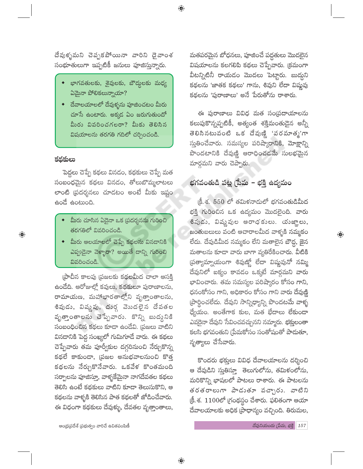దేవుళ్ళమని చెప్పకపోయినా వారిని దైవాంశ సంభూతులుగా ఇప్పటికీ జనులు పూజిస్తున్నారు.

 $\bigoplus$ 

- భాగవతులకు, శైవులకు, బౌద్దలకు మధ్య  $\Delta$ మైనా పోలికలున్నాయా?
- $\bullet$  దేవాలయాలలో దేవుళ్ళను పూజించటం మీరు చూసే ఉంటారు. అక్కడ ఏం జరుగుతుందో మీరు వివరించగలరా? మీకు తెలిసిన విషయాలను తరగతి గదిలో చర్చించండి.

#### కథకులు

పెద్దలు చెప్పే కథలు వినడం, కథకులు చెప్పే మత సంబంధమైన కథలు వినడం, తోలుబొమ్మలాటలు లాంటి (పదర్శనలు చూడటం అంటే మీకు ఇష్టం ఉండే ఉంటుంది.

- మీరు చూసిన ఏదైనా ఒక (పదర్శనను గురించి తరగతిలో వివరించండి.
- $\bullet$  మీరు ఆలయాలలో చెప్పే కథలను వినడానికి ఎప్పుడైనా వెళ్ళారా? అయితే దాన్ని గురించి వివరించండి.

(పాచీన కాలపు (పజలకు కథలమీద చాలా ఆసక్తి ఉందేది. ఆరోజుల్లో కవులు, కథకులూ పురాణాలను, రామాయణ, మహాభారతాల్లోని వృత్తాంతాలను, శివుడు, విష్ణవు, దుర్గ వెుుదలైన దేవతల వృత్తాంతాలను చెప్పేవారు. కొన్ని బుద్దనికి .<br>సంబంధించిన కథలు కూడా ఉండేవి. (పజలు వాటిని వినదానికి పెద్ద సంఖ్యలో గుమిగూడే వారు. ఈ కథలు చెప్పేవారు తమ పూర్వీకుల దగ్గరినుంచి నేర్చుకొన్న కథలే కాకుండా, (పజల అనుభవాలనుంచి కొత్త కథలను నేర్చుకొనేవారు. ఒకవేళ కొంతమంది సర్పాలను పూజిస్తూ, వాళ్ళకేమైనా నాగదేవతల కథలు తెలిసి ఉంటే కథకులు వాటిని కూడా తెలుసుకొని, ఆ కథలను వాళ్ళకి తెలిసిన పాత కథలతో జోడించేవారు. ఈ విధంగా కథకులు దేవుళ్ళు, దేవతల వృత్తాంతాలు,

మతపరమైన బోధనలు, పూజించే పద్ధతులు మొదలైన విషయాలను కలగలిపి కథలు చెప్పేవారు. క్రమంగా వీటన్నిటినీ రాయడం మొదలు పెట్టారు. బుద్దని కథలను 'జాతక కథలు' గాను, శివుని లేదా విష్ణవు కథలను 'పురాణాలు' అనే పేరుతోను రాశారు.

ఈ పురాణాలు వివిధ మత సం(పదాయాలను కలుపుకొన్నప్పటికీ, అత్యంత శక్తిమంతుడైన అన్నీ తెలిసినటువంటి ఒక దేవుణ్ణి 'పరమాత్మ'గా స్తుతించేవారు. సమస్యల పరిష్మారానికి, మోక్షాన్ని పొందటానికి దేవుణ్ణి ఆరాధించడమే సులభమైన మార్గమని వారు చెప్పారు.

### భగవంతుడి పట్ల (పేమ – భక్తి ఉద్యమం

క్రీ. శ. 550 లో తమిళనాదులో భగవంతుడిమీద భక్తి గురించిన ఒక ఉద్యమం మొదలైంది. వారు శివుడు, విష్ణవుల ఆరాధకులు. యజ్ఞాలు, జంతుబలులు పంటి ఆచారాలమీద వాళ్ళకి నమ్మకం .<br>లేదు. దేవుడిమీద నమ్మకం లేని మతాలైన బౌద్ధ, <mark>జై</mark>న మతాలను కూడా వారు బాగా వ్యతిరేకించారు. వీటికి ప్రత్యామ్నాయంగా శివుణ్ణో లేదా విష్ణవునో నమ్మి దేవునిలో ఐక్యం కావడం ఒక్కటే మార్గమని వారు భావించారు. తమ సమస్యల పరిష్కారం కోసం గాని, ధనంకోసం గాని, అధికారం కోసం గాని వారు దేవుణ్ణి ప్రార్థించలేదు. దేవుని సాన్నిధ్యాన్ని పొందటమే వాళ్ళ ధ్యేయం. అంతేగాక కుల, మత భేదాలు లేకుండా ఎవరైనా దేవుని సేవించవచ్చునని నమ్మారు. భక్తులంతా కలసి భగవంతుని (పేమకోసం సంతోషంతో పాదుతూ, నృత్యాలు చేసేవారు.

 $\bigoplus$ 

కొందరు భక్తులు వివిధ దేవాలయాలను దర్శించి ఆ దేవుడిని స్తుతిస్తూ తెలుగులోను, తమిళంలోను, మరికొన్ని భాషలలో పాటలు రాశారు. ఈ పాటలను తరతరాలుగా పాడుతూ వచ్చారు. వాటిని క్రీ.శ. 1100లో గ్రంథస్థం చేశారు. ఫలితంగా ఆయా దేవాలయాలకు అధిక (పాధాన్యం వచ్చింది. తిరుమల,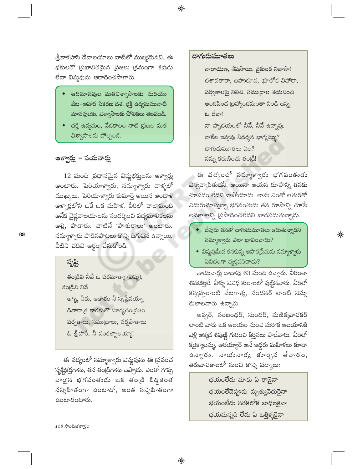.<br>శ్రీకాళహస్తి దేవాలయాలు వాటిలో ముఖ్యమైనవి. ఈ భక్తులతో (పభావితమైన (పజలు (కమంగా శివుడు లేదా విష్ణవును ఆరాధించసాగారు.

- ఆదిమానవుల మతవిశ్వాసాలకు మరియు వేట–ఆహార సేకరణ దశ, భక్తి ఉద్యమమునాటి మానవులకు, విశ్వాసాలకు పోలికలు తెలపండి.
- భక్తి ఉద్యమం, వేదకాలం నాటి (పజల మత విశ్వాసాలను పోల్చండి.

### ఆళ్వార్లు – నయనార్లు

 $12$  మంది (పధానమైన విష్ణభక్తులను ఆళ్వార్లు అంటారు. పెరియాళ్వారు, నమ్మాళ్వారు వాళ్ళలో ముఖ్యులు. పెరియాళ్వారు కుమార్తె అయిన ఆందాళ్ .<br>ఆళ్వార్లలోని ఒకే ఒక మహిళ. వీరిలో చాలామంది అనేక వైష్ణవాలయాలను సందర్శించి పద్యమాలికలను అల్లి, పాడారు. వాటినే 'పాశురాలు' అంటారు. నమ్మాళ్వారు పాడినపాటలు కొన్ని దిగువన ఉన్నాయి. వీటిని చదివి అర్థం చేసుకోండి.

### సృష్టి

 $\bigoplus$ 

తండ్రివి నీవే ఓ పరమాత్మా (విష్ణు), తండ్రివి నీవే అగ్ని, నీరు, ఆకాశం నీ సృష్టేనయ్యా దివారాత్ర కారకులౌ సూర్యచంద్రులు పర్వతాలు, సముద్రాలు, వర్షపాతాలు ఓ శ్రీహరీ, నీ సంకల్పాలయ్యా!

ఈ పద్యంలో నమ్మాళ్వారు విష్ణవును ఈ (పపంచ సృష్టికర్తగాను, తన తండ్రిగాను చెప్పాడు. ఎంతో గొప్ప ా<sub>ల</sub><br>వాడైన భగవంతుడు ఒక తంఁడి బిడ్డకెంత సన్నిహితంగా ఉంటాడో, అంత సన్నిహితంగా ఉంటాదంటారు.

#### దాగుదుమూతలు

 $\bigoplus$ 

నారాయణ, శేషసాయి, వైకుంఠ నివాసా! దశావతారా, బహురూప, భూలోక విహారా, పర్వతాలపై నిలిచి, సముద్రాల శయనించి అందపింద (బహ్మాందమంతా నిండి ఉన్న ఓ దేవా! నా హృదయంలో నీవే, నీవే ఉన్నావు. నాకేల ఇవ్వవు నీదర్శన భాగ్యమ్ము? దాగుడుమూతలు ఏల?  $\delta$ న్ను కరుణించు తండ్రీ!

ఈ పద్యంలో నమ్మాళ్వారు భగవంతుడు విశ్వవ్యాపితుడనీ, అయినా ఆయన రూపాన్ని తనకు చూపడం లేదని వాపోయాడు. తాను ఎంతో ఆతురతో ఎదురుచూస్తున్నా భగవంతుడు తన రూపాన్ని చూసే అవకాశాన్ని (పసాదించలేదని బాధపడుతున్న<mark>ా</mark>డు.

 $\bullet$  దేవుదు తనతో దాగుదుమూతలు ఆదుతున్నాదని నమ్మాళ్వారు ఎలా భావించాడు?

 $\overline{\mathbb{Q}}$ 

 $\bullet$  విష్ణవుమీద తనకున్న అపార(పేమను నమ్మా<mark>క్వారు</mark> ఏవిధంగా వ్యక్తపరిచాడు?

నాయనార్లు దాదాపు 63 మంది ఉన్నారు. వీరంతా శివభక్తులే. వీళ్ళు వివిధ కులాలలో పుట్టినవారు. వీరిలో కన్నప్పలాంటి వేటగాళ్లు, సందనర్ లాంటి నిమ్న కులాలవారు ఉన్నారు.

అప్పర్, సంబంధర్, సుందర్, మణిక్కవాచకర్ లాంటి వారు ఒక ఆలయం నుంచి మరొక ఆలయానికి వెళ్లి అక్కడ శివుణ్ణి గురించి కీర్తనలు పాడేవారు. వీరిలో కరైక్కాలమ్మ, అరయ్యార్ అనే ఇద్దరు మహిళలు కూడా ఉన్నారు. నాయంనార్లు కూర్చిన తేవారం, తిరువాచకాలలో నుంచి కొన్ని పద్యాలు:

> భయంలేదు మాకు ఏ రాజైనా భయంలేదెప్పుడు మృత్యువెదురైనా భయంలేదు నరకలోక బాధలకైనా భయమన్నది లేదు ఏ ఒత్తిళ్ళకైనా

 $\ket{158}$  సాంఘికశాగ్రుం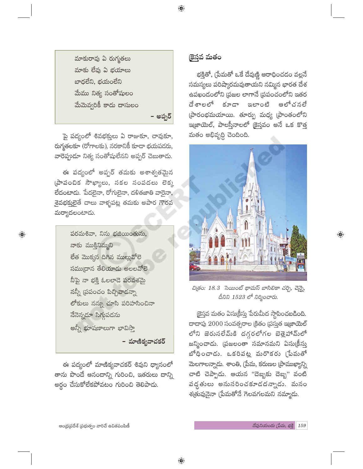మాకురావు ఏ రుగ్మతలు మాకు లేవు ఏ భయాలు బాధలేని, భయంలేని మేము నిత్య సంతోషులం మేమెవ్వరికీ కాదు దాసులం

పై పద్యంలో శివభక్తులు ఏ రాజుకూ, చావుకూ, రుగ్మతలకూ (రోగాలకు), నరకానికీ కూడా భయపడరు, వారెప్పుడూ నిత్య సంతోషులేనని అప్పర్ చెబుతాడు.

ఈ పద్యంలో అప్పర్ తమకు అశాశ్వతమైన  $\overline{\omega}$ చంచిక సౌఖ్యాలు, సకల సంపదలు లెక్క లేదంటాడు. పేదలైనా, రోగులైనా, దళితజాతి వారైనా, శైవభక్తులైతే చాలు వాళ్ళపట్ల తమకు అపార గౌరవ మర్యాదలంటాడు.

 $\bigoplus$ 

పరమశివా, నిను భజియింతును, నాకు ముక్తినిమ్మని లేత మొక్కన దిగిన ముల్లువోలె సముద్రాన తేలియాడు అలలవోలె నీపై నా భక్తి ఓలలాడె పరవశమై నన్నీ ద్రపంచం పిచ్చివాడన్నా లోకులు నన్ను చూసి పరిహాసించినా నేనెన్నడూ సిగ్గుపడను అన్నీ భూషణాలుగా భావిస్తా

- మాణికృవాచకర్

 $\bigoplus$ 

ఈ పద్యంలో మాణిక్యవాచకర్ శివుని ధ్యానంలో తాను పొందే ఆనందాన్ని గురించి, ఇతరులు దాన్ని అర్ధం చేసుకోలేకపోవటం గురించి తెలిపాడు.

### కైస్తవ మతం

భక్తితో, (పేమతో ఒకే దేవుణ్ణి ఆరాధించడం వల్లనే సమస్యలు పరిష్మారమవుతాయని నమ్మిన భారత దేశ ఉపఖండంలోని (పజల లాగానే (పపంచంలోని ఇతర దేశాలలో కూడా ఇలాంటి అలోచనలే ప్రారంభమయాయి. తూర్పు మధ్య ప్రాంతంలోని ఇ(జాయెల్, పాలస్తీనాలలో (కైస్తవం అనే ఒక కొత్త మతం అభివృద్ధి చెందింది.



 $\bigoplus$ 

చిత్రం: 18.3 సెయింట్ థామస్ బాసిలికా చర్చి, చెన్నై, దీనిని 1523 లో నిర్మించారు.

క్రైస్తవ మతం ఏసుక్రీస్తు పేరుమీద స్థాపించబడింది. దాదాపు  $2000$  సంవత్సరాల క్రితం (పస్తుత ఇజాయెల్ లోని జెరుసలేమ్కి దగ్గరలోగల బెత్లెహామ్లో జన్మించాడు. (పజలంతా సమానమని ఏసుక్రీస్తు బోధించాడు. ఒకరిపట్ల మరొకరు (పేమతో మెలగాలన్నాడు. శాంతి, (పేమ, కరుణల (పాముఖ్యాన్ని చాటి చెప్పాడు. ఆయన "దెబ్బకు దెబ్బ" వంటి పద్ధతులు అనుసరించకూడదన్నాడు. మనం శ(తువునైనా (పేమతోనే గెలవగలమని నమ్మాడు.

 $\bigoplus$ 

– అప్పర్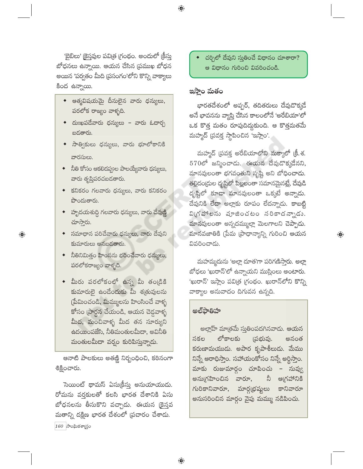'బైబిలు' కైస్తవుల పవిత్ర (గంథం. అందులో (కీస్తు బోధనలు ఉన్నాయి. ఆయన చేసిన (పముఖ బోధన అయిన 'పర్వతం మీది (పసంగం'లోని కొన్ని వాక్యాలు కింద ఉన్నాయి.

- $\bullet$  ఆత్మవిషయమై దీనులైన వారు ధన్యులు, పరలోక రాజ్యం వాళ్ళది.
- $\bullet$  దుఃఖపడేవారు ధన్యులు వారు ఓదార్చ బదతారు.
- ◆ సాత్వికులు ధన్యులు, వారు భూలోకానికి వారసులు.
- ◆ నీతి కోసం ఆకలిదప్పుల పాలయ్యేవారు ధన్యులు, వారు తృప్తిపరచబడతారు.
- ◆ కనికరం గలవారు ధన్యులు, వారు కనికరం పొందుతారు.
- ◆ పృాదయశుద్ధి గలవారు ధన్యులు, వారు దేవుణ్ణి చూస్తారు.
- $\bullet$  సమాధాన పరిచేవారు ధన్యులు, వారు దేవుని కుమారులు అనబడతారు.

 $\bigoplus$ 

- ◆ నీతినిమిత్తం హింసను భరించేవారు ధన్యులు, పరలోకరాజ్యం వాళ్ళది.
- $\bullet$  మీరు పరలోకంలో ఉన్న మీ తండ్రికి కుమారులై ఉండేందుకు మీ శ(తువులను (పేమించండి, మిమ్ములను హింసించే వాళ్ళ కోసం (పార్థన చేయండి, ఆయన చెడ్డవాళ్ళ మీద, మంచివాళ్ళ మీద తన సూర్యుని ఉదయింపజేసి, నీతిమంతులమీదా, అవినీతి మంతులమీదా వర్షం కురిపిస్తున్నాడు.

ఆనాటి పాలకులు అతణ్ణి నిర్బంధించి, కఠినంగా శిక్షించారు.

సెయింట్ థామస్ ఏసుక్రీసు అనుయాయుడు. రోమను వర్తకులతో కలసి భారత దేశానికి ఏసు బోధనలను తీసుకొని వచ్చాడు. ఈయన (కైస్తవ మతాన్ని దక్షిణ భారత దేశంలో (పచారం చేశాడు.  $160$  సాంఘికశాగ్రుం

చర్చిలో దేవుని స్తుతించే విధానం చూశారా? ఆ విధానం గురించి వివరించండి.

#### ఇస్తాం మతం

 $\bigoplus$ 

భారతదేశంలో అప్పర్, తదితరులు దేవుడొక్కడే అనే భావనను వ్యాప్తి చేసిన కాలంలోనే 'అరేబియా'లో ఒక కొత్త మతం రూపుదిద్దుకుంది. ఆ కొత్తమతమే మహ్మద్ (పవక్త స్థాపించిన 'ఇస్లాం'.

మహ్మద్ (పవక్త అరేబియాలోని మక్కాలో (కీ. శ.  $570$ లో జన్మించాడు. ఈయన దేవుడొక్కడేనని, మానవులంతా భగవంతుని సృష్టి అని బోధించాడు. .<br>తల్లిదం[దుల దృష్టిలో పిల్లలంతా సమానమైనట్లే, దేవుడి దృష్టిలో కూడా మానవులంతా ఒక్కటే అన్నాడు. దేవునికి లేదా అల్లాకు రూపం లేదన్నాడు. కాబట్టి వి(గహాలను పూజించటం నరికాదన్నాడు. మానవులంతా అన్నదమ్ముల్లా మెలగాలని చెప్పాడు. మానవజాతికి (పేమ (పాధాన్యాన్ని గురించి ఆయన వివరించాడు.

 $\bigoplus$ 

మహమ్మదును 'అల్లా దూత'గా పరిగణిస్తారు. అల్లా బోధలు 'ఖురాన్'లో ఉన్నాయని ముస్లింలు అంటారు. 'ఖురాన్' ఇస్లాం పవిత్ర గ్రంథం. ఖురాన్లోని కొన్ని వాక్యాల అనువాదం దిగువన ఉన్నది.

#### అల్ఫాతిహ

అల్లాహ్ మాత్రమే సుతింపదగినవాదు. ఆయన లోకాలకు సకల (పభువు. అనంత కరుణామయుడు. అపార కృపాశీలుడు. మేము నిన్నే ఆరాధిస్తాం. సహాయంకోసం నిన్నే అర్థిస్తాం. మాకు రుజుమార్గం చూపించు – నువ్వు అగ్రహానికి నీ అనుగ్రహించిన వారూ, గురికానివారూ, మార్గ(భష్మలు కానివారూ అనుసరించిన మార్గం వైపు మమ్ము నడిపించు.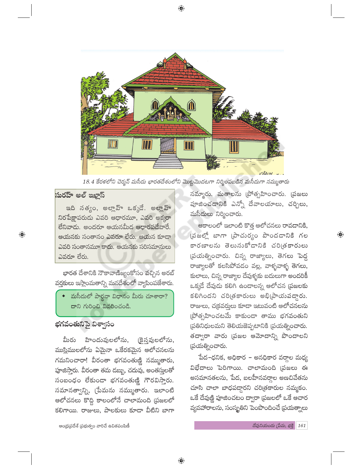

⊕

18.4 కేరళలోని చెర్మన్ మసీదు భారతదేశంలోని మొట్టమొదటగా నిర్మింపబడిన మసీదుగా నమ్ముతారు

## సురహ్ అల్ ఇఖ్లాస్

 $\bigoplus$ 

ఇది సత్యం, అల్లాహ్ ఒక్కడే. అల్లాహ్ నిరపేక్షాపరుడు ఎవరి ఆధారమూ, ఎవరి అక్కరా లేనివాడు. అందరూ ఆయనమీద ఆధారపడేవారే. ఆయనకు సంతానం ఎవరూ లేరు. ఆయన కూడా ఎవరి సంతానమూ కాదు. ఆయనకు సరిసమానులు ఎవరూ లేరు.

భారత దేశానికి నౌకావాణిజ్యంకోసం వచ్చిన అరబ్ వర్తకులు ఇస్లాంమతాన్ని మనదేశంలో వ్యాపింపజేశారు.

మసీదులో పార్థనా విధానం మీరు చూశారా? దాని గురించి వివరించండి.

#### భగవంతునిపై విశ్వాసం

మీరు హిందువులలోను, (కైన్హవులలోను, ముస్లిములలోను ఏమైనా ఒకేరకమైన ఆలోచనలను గమనించారా! వీరంతా భగవంతుణ్ణి నమ్ముతారు, పూజిస్తారు. వీరంతా తమ డబ్బు, చదువు, అంతస్తులతో సంబంధం లేకుండా భగవంతుణ్ణి గౌరవిస్తారు. సమానత్వాన్ని, (పేమను నమ్ముతారు. ఇలాంటి ఆలోచనలు కొద్ది కాలంలోనే చాలామంది (పజలలో కలిగాయి. రాజులు, పాలకులు కూడా వీటిని బాగా

నమ్మారు. మతాలను [పోత్సహించారు. [పజలు పూజించడానికి ఎన్నో దేవాలయాలు, చర్చిలు, మసీదులు నిర్మించారు.

ఆకాలంలో ఇలాంటి కొత్త ఆలోచనలు రావదానికి, (పజల్లో బాగా (పాచుర్యం పొందడానికి గల కారణాలను తెలుసుకోడానికి చరిత్రకారులు (పయత్నించారు. చిన్న రాజ్యాలు, తెగలు పెద్ద రాజ్యాలతో కలసిపోవడం వల్ల, వాళ్ళవాళ్ళ తెగలు, కులాలు, చిన్న రాజ్యాల దేవుళ్ళకు బదులుగా అందరికీ ఒక్కడే దేవుడు కలిగి ఉండాలన్న ఆలోచన (పజలకు కలిగిందని చరిత్రకారులు అభి(పాయపడ్డారు. రాజులు, చ(కవరులు కూడా ఇటువంటి ఆలోచనలను (పోత్సహించటమే కాకుండా తాము భగవంతుని ప్రతినిధులమని తెలియజెప్పటానికి (పయత్నించారు. తద్వారా వారు (పజల ఆమోదాన్ని పొందాలని (పయత్నించారు.

పేద–ధనిక, అధికార – అనధికార వర్తాల మధ్య విభేదాలు పెరిగాయి. చాలామంది (పజలు ఈ అసమానతలను, పేద, బలహీనవర్గాల అణచివేతను చూసి చాలా బాధపడ్దారని చరిత్రకారుల నమ్మకం. ఒకే దేవుణ్ణి పూజించటం ద్వారా (పజలలో ఒకే ఆచార వ్యవహారాలను, సంస్థ్రతిని పెంపొందించే (పయత్నాలు